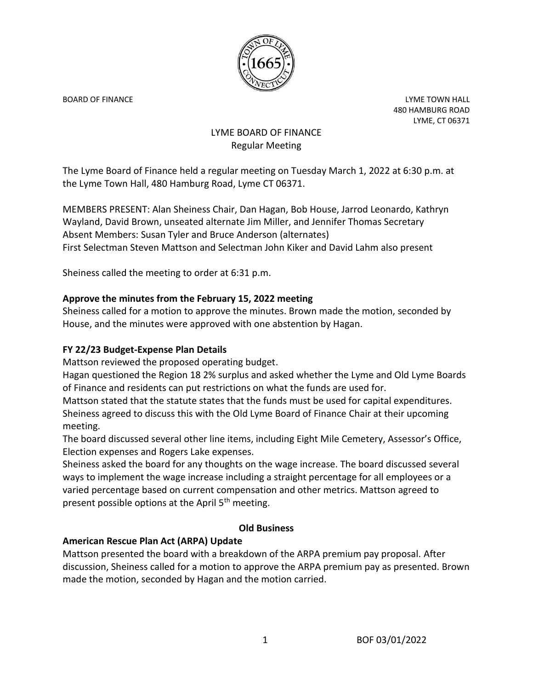

BOARD OF FINANCE **Little Struck and Struck and Struck and Struck and Struck and Struck and Struck and Struck and Struck and Struck and Struck and Struck and Struck and Struck and Struck and Struck and Struck and Struck and** 480 HAMBURG ROAD LYME, CT 06371

# LYME BOARD OF FINANCE Regular Meeting

The Lyme Board of Finance held a regular meeting on Tuesday March 1, 2022 at 6:30 p.m. at the Lyme Town Hall, 480 Hamburg Road, Lyme CT 06371.

MEMBERS PRESENT: Alan Sheiness Chair, Dan Hagan, Bob House, Jarrod Leonardo, Kathryn Wayland, David Brown, unseated alternate Jim Miller, and Jennifer Thomas Secretary Absent Members: Susan Tyler and Bruce Anderson (alternates) First Selectman Steven Mattson and Selectman John Kiker and David Lahm also present

Sheiness called the meeting to order at 6:31 p.m.

## **Approve the minutes from the February 15, 2022 meeting**

Sheiness called for a motion to approve the minutes. Brown made the motion, seconded by House, and the minutes were approved with one abstention by Hagan.

## **FY 22/23 Budget-Expense Plan Details**

Mattson reviewed the proposed operating budget.

Hagan questioned the Region 18 2% surplus and asked whether the Lyme and Old Lyme Boards of Finance and residents can put restrictions on what the funds are used for.

Mattson stated that the statute states that the funds must be used for capital expenditures. Sheiness agreed to discuss this with the Old Lyme Board of Finance Chair at their upcoming meeting.

The board discussed several other line items, including Eight Mile Cemetery, Assessor's Office, Election expenses and Rogers Lake expenses.

Sheiness asked the board for any thoughts on the wage increase. The board discussed several ways to implement the wage increase including a straight percentage for all employees or a varied percentage based on current compensation and other metrics. Mattson agreed to present possible options at the April  $5<sup>th</sup>$  meeting.

### **Old Business**

### **American Rescue Plan Act (ARPA) Update**

Mattson presented the board with a breakdown of the ARPA premium pay proposal. After discussion, Sheiness called for a motion to approve the ARPA premium pay as presented. Brown made the motion, seconded by Hagan and the motion carried.